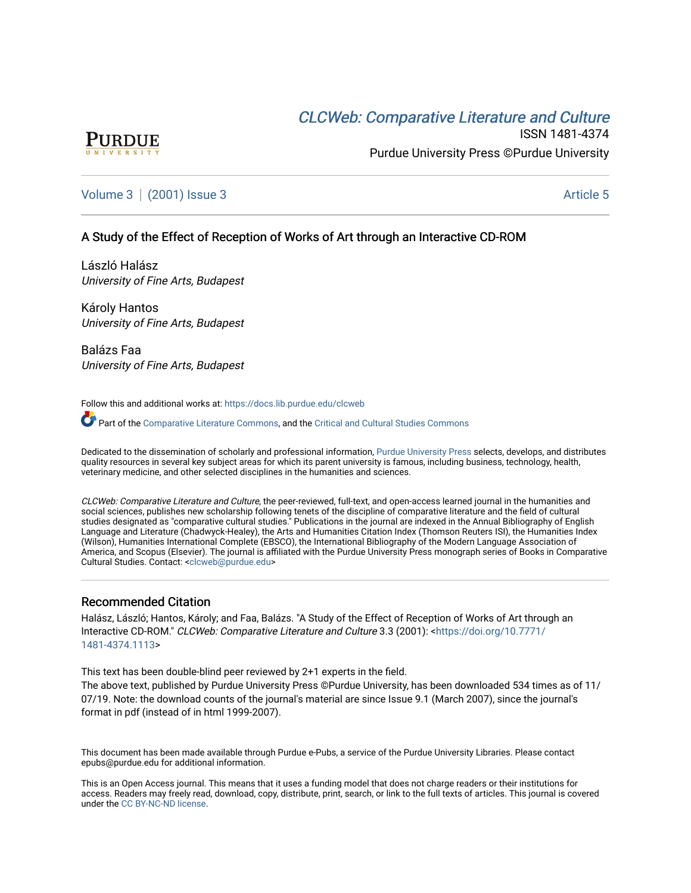# CLCW[eb: Comparative Liter](https://docs.lib.purdue.edu/clcweb)ature and Culture



ISSN 1481-4374 Purdue University Press ©Purdue University

## [Volume 3](https://docs.lib.purdue.edu/clcweb/vol3) | [\(2001\) Issue 3](https://docs.lib.purdue.edu/clcweb/vol3/iss3) Article 5

## A Study of the Effect of Reception of Works of Art through an Interactive CD-ROM

László Halász University of Fine Arts, Budapest

Károly Hantos University of Fine Arts, Budapest

Balázs Faa University of Fine Arts, Budapest

Follow this and additional works at: [https://docs.lib.purdue.edu/clcweb](https://docs.lib.purdue.edu/clcweb?utm_source=docs.lib.purdue.edu%2Fclcweb%2Fvol3%2Fiss3%2F5&utm_medium=PDF&utm_campaign=PDFCoverPages)

Part of the [Comparative Literature Commons,](http://network.bepress.com/hgg/discipline/454?utm_source=docs.lib.purdue.edu%2Fclcweb%2Fvol3%2Fiss3%2F5&utm_medium=PDF&utm_campaign=PDFCoverPages) and the [Critical and Cultural Studies Commons](http://network.bepress.com/hgg/discipline/328?utm_source=docs.lib.purdue.edu%2Fclcweb%2Fvol3%2Fiss3%2F5&utm_medium=PDF&utm_campaign=PDFCoverPages) 

Dedicated to the dissemination of scholarly and professional information, [Purdue University Press](http://www.thepress.purdue.edu/) selects, develops, and distributes quality resources in several key subject areas for which its parent university is famous, including business, technology, health, veterinary medicine, and other selected disciplines in the humanities and sciences.

CLCWeb: Comparative Literature and Culture, the peer-reviewed, full-text, and open-access learned journal in the humanities and social sciences, publishes new scholarship following tenets of the discipline of comparative literature and the field of cultural studies designated as "comparative cultural studies." Publications in the journal are indexed in the Annual Bibliography of English Language and Literature (Chadwyck-Healey), the Arts and Humanities Citation Index (Thomson Reuters ISI), the Humanities Index (Wilson), Humanities International Complete (EBSCO), the International Bibliography of the Modern Language Association of America, and Scopus (Elsevier). The journal is affiliated with the Purdue University Press monograph series of Books in Comparative Cultural Studies. Contact: [<clcweb@purdue.edu](mailto:clcweb@purdue.edu)>

## Recommended Citation

Halász, László; Hantos, Károly; and Faa, Balázs. "A Study of the Effect of Reception of Works of Art through an Interactive CD-ROM." CLCWeb: Comparative Literature and Culture 3.3 (2001): [<https://doi.org/10.7771/](https://doi.org/10.7771/1481-4374.1113) [1481-4374.1113](https://doi.org/10.7771/1481-4374.1113)>

This text has been double-blind peer reviewed by 2+1 experts in the field.

The above text, published by Purdue University Press ©Purdue University, has been downloaded 534 times as of 11/ 07/19. Note: the download counts of the journal's material are since Issue 9.1 (March 2007), since the journal's format in pdf (instead of in html 1999-2007).

This document has been made available through Purdue e-Pubs, a service of the Purdue University Libraries. Please contact epubs@purdue.edu for additional information.

This is an Open Access journal. This means that it uses a funding model that does not charge readers or their institutions for access. Readers may freely read, download, copy, distribute, print, search, or link to the full texts of articles. This journal is covered under the [CC BY-NC-ND license.](https://creativecommons.org/licenses/by-nc-nd/4.0/)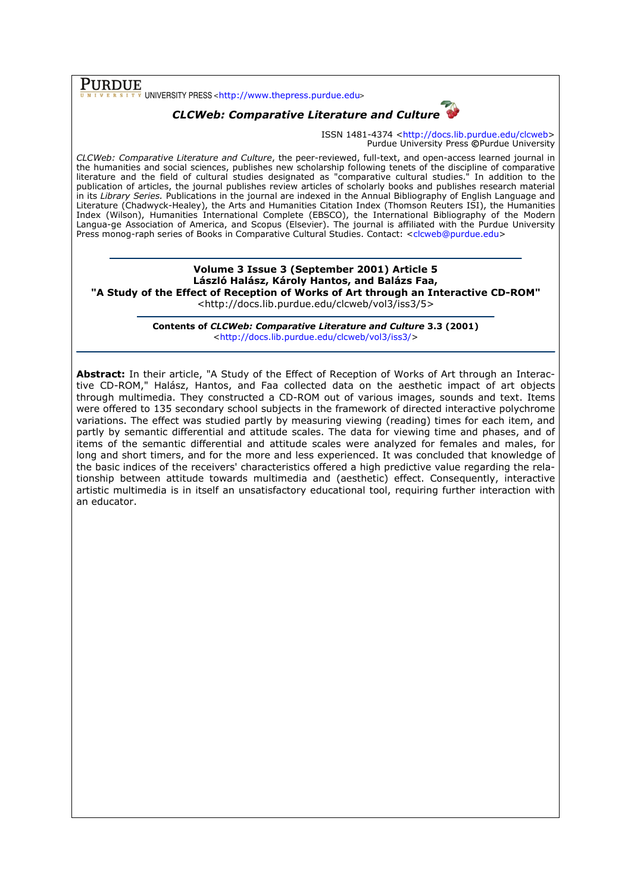## PURDUE

UNIVERSITY PRESS <http://www.thepress.purdue.edu>

## CLCWeb: Comparative Literature and Culture

ISSN 1481-4374 <http://docs.lib.purdue.edu/clcweb> Purdue University Press ©Purdue University

CLCWeb: Comparative Literature and Culture, the peer-reviewed, full-text, and open-access learned journal in the humanities and social sciences, publishes new scholarship following tenets of the discipline of comparative literature and the field of cultural studies designated as "comparative cultural studies." In addition to the publication of articles, the journal publishes review articles of scholarly books and publishes research material in its Library Series. Publications in the journal are indexed in the Annual Bibliography of English Language and Literature (Chadwyck-Healey), the Arts and Humanities Citation Index (Thomson Reuters ISI), the Humanities Index (Wilson), Humanities International Complete (EBSCO), the International Bibliography of the Modern Langua-ge Association of America, and Scopus (Elsevier). The journal is affiliated with the Purdue University Press monog-raph series of Books in Comparative Cultural Studies. Contact: <clcweb@purdue.edu>

Volume 3 Issue 3 (September 2001) Article 5 László Halász, Károly Hantos, and Balázs Faa, "A Study of the Effect of Reception of Works of Art through an Interactive CD-ROM" <http://docs.lib.purdue.edu/clcweb/vol3/iss3/5>

> Contents of CLCWeb: Comparative Literature and Culture 3.3 (2001) <http://docs.lib.purdue.edu/clcweb/vol3/iss3/>

Abstract: In their article, "A Study of the Effect of Reception of Works of Art through an Interactive CD-ROM," Halász, Hantos, and Faa collected data on the aesthetic impact of art objects through multimedia. They constructed a CD-ROM out of various images, sounds and text. Items were offered to 135 secondary school subjects in the framework of directed interactive polychrome variations. The effect was studied partly by measuring viewing (reading) times for each item, and partly by semantic differential and attitude scales. The data for viewing time and phases, and of items of the semantic differential and attitude scales were analyzed for females and males, for long and short timers, and for the more and less experienced. It was concluded that knowledge of the basic indices of the receivers' characteristics offered a high predictive value regarding the relationship between attitude towards multimedia and (aesthetic) effect. Consequently, interactive artistic multimedia is in itself an unsatisfactory educational tool, requiring further interaction with an educator.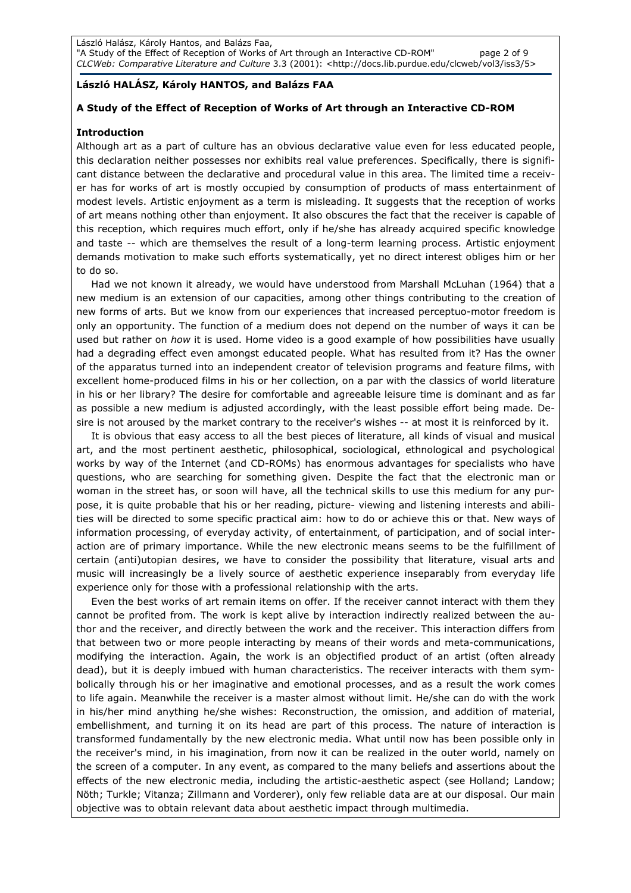## László HALÁSZ, Károly HANTOS, and Balázs FAA

## A Study of the Effect of Reception of Works of Art through an Interactive CD-ROM

#### Introduction

Although art as a part of culture has an obvious declarative value even for less educated people, this declaration neither possesses nor exhibits real value preferences. Specifically, there is significant distance between the declarative and procedural value in this area. The limited time a receiver has for works of art is mostly occupied by consumption of products of mass entertainment of modest levels. Artistic enjoyment as a term is misleading. It suggests that the reception of works of art means nothing other than enjoyment. It also obscures the fact that the receiver is capable of this reception, which requires much effort, only if he/she has already acquired specific knowledge and taste -- which are themselves the result of a long-term learning process. Artistic enjoyment demands motivation to make such efforts systematically, yet no direct interest obliges him or her to do so.

Had we not known it already, we would have understood from Marshall McLuhan (1964) that a new medium is an extension of our capacities, among other things contributing to the creation of new forms of arts. But we know from our experiences that increased perceptuo-motor freedom is only an opportunity. The function of a medium does not depend on the number of ways it can be used but rather on how it is used. Home video is a good example of how possibilities have usually had a degrading effect even amongst educated people. What has resulted from it? Has the owner of the apparatus turned into an independent creator of television programs and feature films, with excellent home-produced films in his or her collection, on a par with the classics of world literature in his or her library? The desire for comfortable and agreeable leisure time is dominant and as far as possible a new medium is adjusted accordingly, with the least possible effort being made. Desire is not aroused by the market contrary to the receiver's wishes -- at most it is reinforced by it.

It is obvious that easy access to all the best pieces of literature, all kinds of visual and musical art, and the most pertinent aesthetic, philosophical, sociological, ethnological and psychological works by way of the Internet (and CD-ROMs) has enormous advantages for specialists who have questions, who are searching for something given. Despite the fact that the electronic man or woman in the street has, or soon will have, all the technical skills to use this medium for any purpose, it is quite probable that his or her reading, picture- viewing and listening interests and abilities will be directed to some specific practical aim: how to do or achieve this or that. New ways of information processing, of everyday activity, of entertainment, of participation, and of social interaction are of primary importance. While the new electronic means seems to be the fulfillment of certain (anti)utopian desires, we have to consider the possibility that literature, visual arts and music will increasingly be a lively source of aesthetic experience inseparably from everyday life experience only for those with a professional relationship with the arts.

Even the best works of art remain items on offer. If the receiver cannot interact with them they cannot be profited from. The work is kept alive by interaction indirectly realized between the author and the receiver, and directly between the work and the receiver. This interaction differs from that between two or more people interacting by means of their words and meta-communications, modifying the interaction. Again, the work is an objectified product of an artist (often already dead), but it is deeply imbued with human characteristics. The receiver interacts with them symbolically through his or her imaginative and emotional processes, and as a result the work comes to life again. Meanwhile the receiver is a master almost without limit. He/she can do with the work in his/her mind anything he/she wishes: Reconstruction, the omission, and addition of material, embellishment, and turning it on its head are part of this process. The nature of interaction is transformed fundamentally by the new electronic media. What until now has been possible only in the receiver's mind, in his imagination, from now it can be realized in the outer world, namely on the screen of a computer. In any event, as compared to the many beliefs and assertions about the effects of the new electronic media, including the artistic-aesthetic aspect (see Holland; Landow; Nöth; Turkle; Vitanza; Zillmann and Vorderer), only few reliable data are at our disposal. Our main objective was to obtain relevant data about aesthetic impact through multimedia.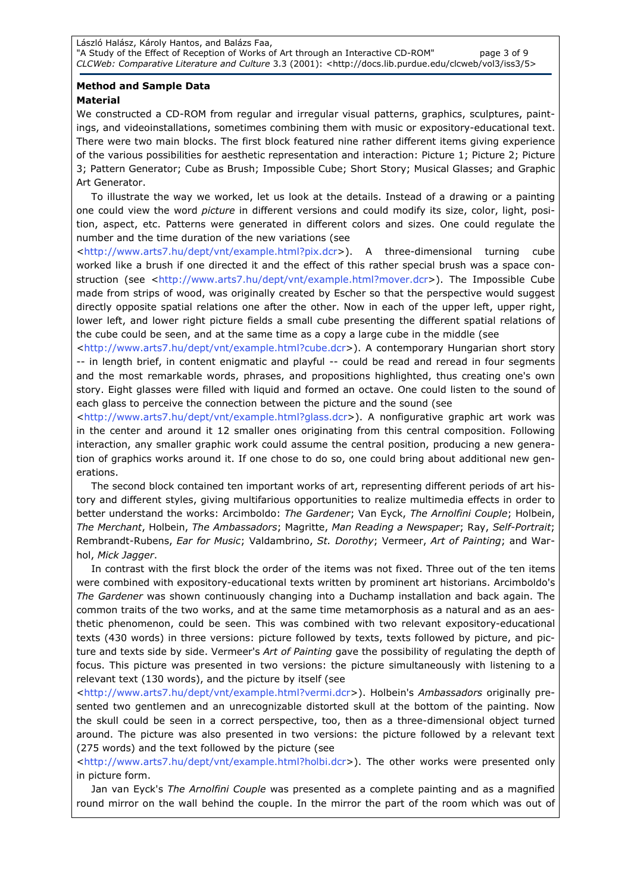## Method and Sample Data Material

We constructed a CD-ROM from regular and irregular visual patterns, graphics, sculptures, paintings, and videoinstallations, sometimes combining them with music or expository-educational text. There were two main blocks. The first block featured nine rather different items giving experience of the various possibilities for aesthetic representation and interaction: Picture 1; Picture 2; Picture 3; Pattern Generator; Cube as Brush; Impossible Cube; Short Story; Musical Glasses; and Graphic Art Generator.

To illustrate the way we worked, let us look at the details. Instead of a drawing or a painting one could view the word *picture* in different versions and could modify its size, color, light, position, aspect, etc. Patterns were generated in different colors and sizes. One could regulate the number and the time duration of the new variations (see

<http://www.arts7.hu/dept/vnt/example.html?pix.dcr>). A three-dimensional turning cube worked like a brush if one directed it and the effect of this rather special brush was a space construction (see <http://www.arts7.hu/dept/vnt/example.html?mover.dcr>). The Impossible Cube made from strips of wood, was originally created by Escher so that the perspective would suggest directly opposite spatial relations one after the other. Now in each of the upper left, upper right, lower left, and lower right picture fields a small cube presenting the different spatial relations of the cube could be seen, and at the same time as a copy a large cube in the middle (see

<http://www.arts7.hu/dept/vnt/example.html?cube.dcr>). A contemporary Hungarian short story -- in length brief, in content enigmatic and playful -- could be read and reread in four segments and the most remarkable words, phrases, and propositions highlighted, thus creating one's own story. Eight glasses were filled with liquid and formed an octave. One could listen to the sound of each glass to perceive the connection between the picture and the sound (see

<http://www.arts7.hu/dept/vnt/example.html?glass.dcr>). A nonfigurative graphic art work was in the center and around it 12 smaller ones originating from this central composition. Following interaction, any smaller graphic work could assume the central position, producing a new generation of graphics works around it. If one chose to do so, one could bring about additional new generations.

The second block contained ten important works of art, representing different periods of art history and different styles, giving multifarious opportunities to realize multimedia effects in order to better understand the works: Arcimboldo: The Gardener; Van Eyck, The Arnolfini Couple; Holbein, The Merchant, Holbein, The Ambassadors; Magritte, Man Reading a Newspaper; Ray, Self-Portrait; Rembrandt-Rubens, Ear for Music; Valdambrino, St. Dorothy; Vermeer, Art of Painting; and Warhol, Mick Jagger.

In contrast with the first block the order of the items was not fixed. Three out of the ten items were combined with expository-educational texts written by prominent art historians. Arcimboldo's The Gardener was shown continuously changing into a Duchamp installation and back again. The common traits of the two works, and at the same time metamorphosis as a natural and as an aesthetic phenomenon, could be seen. This was combined with two relevant expository-educational texts (430 words) in three versions: picture followed by texts, texts followed by picture, and picture and texts side by side. Vermeer's Art of Painting gave the possibility of regulating the depth of focus. This picture was presented in two versions: the picture simultaneously with listening to a relevant text (130 words), and the picture by itself (see

<http://www.arts7.hu/dept/vnt/example.html?vermi.dcr>). Holbein's Ambassadors originally presented two gentlemen and an unrecognizable distorted skull at the bottom of the painting. Now the skull could be seen in a correct perspective, too, then as a three-dimensional object turned around. The picture was also presented in two versions: the picture followed by a relevant text (275 words) and the text followed by the picture (see

<http://www.arts7.hu/dept/vnt/example.html?holbi.dcr>). The other works were presented only in picture form.

Jan van Eyck's The Arnolfini Couple was presented as a complete painting and as a magnified round mirror on the wall behind the couple. In the mirror the part of the room which was out of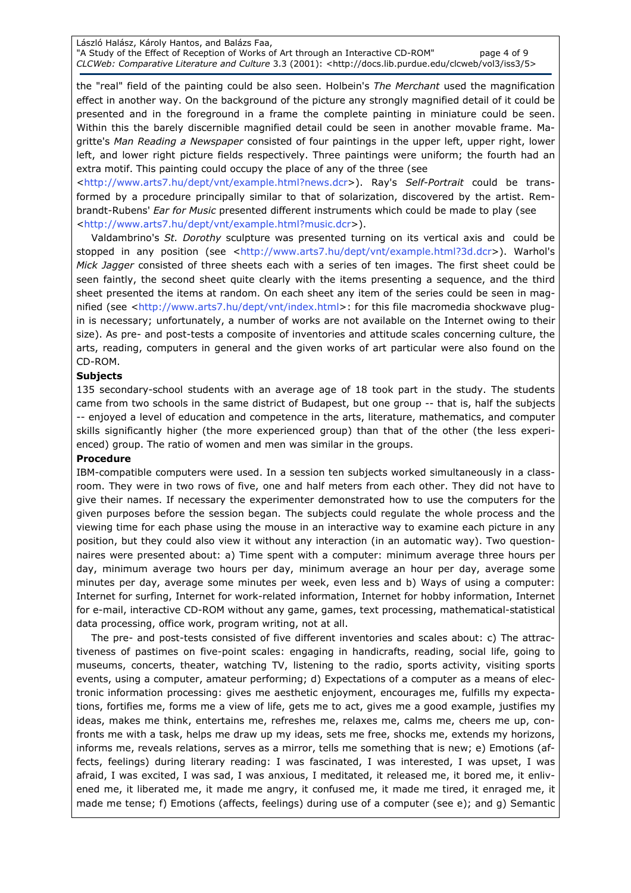László Halász, Károly Hantos, and Balázs Faa, "A Study of the Effect of Reception of Works of Art through an Interactive CD-ROM" page 4 of 9 CLCWeb: Comparative Literature and Culture 3.3 (2001): <http://docs.lib.purdue.edu/clcweb/vol3/iss3/5>

the "real" field of the painting could be also seen. Holbein's The Merchant used the magnification effect in another way. On the background of the picture any strongly magnified detail of it could be presented and in the foreground in a frame the complete painting in miniature could be seen. Within this the barely discernible magnified detail could be seen in another movable frame. Magritte's Man Reading a Newspaper consisted of four paintings in the upper left, upper right, lower left, and lower right picture fields respectively. Three paintings were uniform; the fourth had an extra motif. This painting could occupy the place of any of the three (see

<http://www.arts7.hu/dept/vnt/example.html?news.dcr>). Ray's Self-Portrait could be transformed by a procedure principally similar to that of solarization, discovered by the artist. Rembrandt-Rubens' Ear for Music presented different instruments which could be made to play (see <http://www.arts7.hu/dept/vnt/example.html?music.dcr>).

Valdambrino's St. Dorothy sculpture was presented turning on its vertical axis and could be stopped in any position (see <http://www.arts7.hu/dept/vnt/example.html?3d.dcr>). Warhol's Mick Jagger consisted of three sheets each with a series of ten images. The first sheet could be seen faintly, the second sheet quite clearly with the items presenting a sequence, and the third sheet presented the items at random. On each sheet any item of the series could be seen in magnified (see <http://www.arts7.hu/dept/vnt/index.html>: for this file macromedia shockwave plugin is necessary; unfortunately, a number of works are not available on the Internet owing to their size). As pre- and post-tests a composite of inventories and attitude scales concerning culture, the arts, reading, computers in general and the given works of art particular were also found on the CD-ROM.

## Subjects

135 secondary-school students with an average age of 18 took part in the study. The students came from two schools in the same district of Budapest, but one group -- that is, half the subjects -- enjoyed a level of education and competence in the arts, literature, mathematics, and computer skills significantly higher (the more experienced group) than that of the other (the less experienced) group. The ratio of women and men was similar in the groups.

#### Procedure

IBM-compatible computers were used. In a session ten subjects worked simultaneously in a classroom. They were in two rows of five, one and half meters from each other. They did not have to give their names. If necessary the experimenter demonstrated how to use the computers for the given purposes before the session began. The subjects could regulate the whole process and the viewing time for each phase using the mouse in an interactive way to examine each picture in any position, but they could also view it without any interaction (in an automatic way). Two questionnaires were presented about: a) Time spent with a computer: minimum average three hours per day, minimum average two hours per day, minimum average an hour per day, average some minutes per day, average some minutes per week, even less and b) Ways of using a computer: Internet for surfing, Internet for work-related information, Internet for hobby information, Internet for e-mail, interactive CD-ROM without any game, games, text processing, mathematical-statistical data processing, office work, program writing, not at all.

The pre- and post-tests consisted of five different inventories and scales about: c) The attractiveness of pastimes on five-point scales: engaging in handicrafts, reading, social life, going to museums, concerts, theater, watching TV, listening to the radio, sports activity, visiting sports events, using a computer, amateur performing; d) Expectations of a computer as a means of electronic information processing: gives me aesthetic enjoyment, encourages me, fulfills my expectations, fortifies me, forms me a view of life, gets me to act, gives me a good example, justifies my ideas, makes me think, entertains me, refreshes me, relaxes me, calms me, cheers me up, confronts me with a task, helps me draw up my ideas, sets me free, shocks me, extends my horizons, informs me, reveals relations, serves as a mirror, tells me something that is new; e) Emotions (affects, feelings) during literary reading: I was fascinated, I was interested, I was upset, I was afraid, I was excited, I was sad, I was anxious, I meditated, it released me, it bored me, it enlivened me, it liberated me, it made me angry, it confused me, it made me tired, it enraged me, it made me tense; f) Emotions (affects, feelings) during use of a computer (see e); and g) Semantic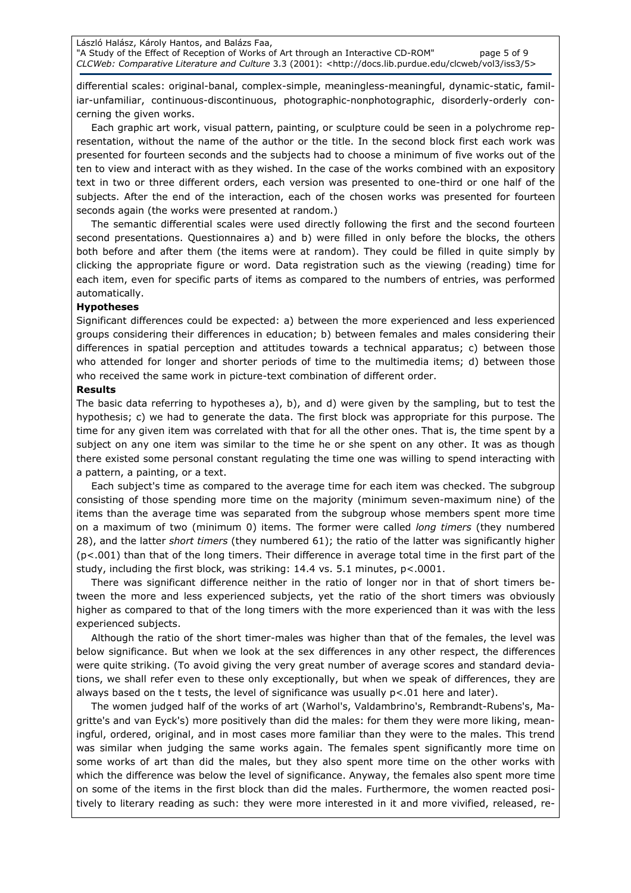differential scales: original-banal, complex-simple, meaningless-meaningful, dynamic-static, familiar-unfamiliar, continuous-discontinuous, photographic-nonphotographic, disorderly-orderly concerning the given works.

Each graphic art work, visual pattern, painting, or sculpture could be seen in a polychrome representation, without the name of the author or the title. In the second block first each work was presented for fourteen seconds and the subjects had to choose a minimum of five works out of the ten to view and interact with as they wished. In the case of the works combined with an expository text in two or three different orders, each version was presented to one-third or one half of the subjects. After the end of the interaction, each of the chosen works was presented for fourteen seconds again (the works were presented at random.)

The semantic differential scales were used directly following the first and the second fourteen second presentations. Questionnaires a) and b) were filled in only before the blocks, the others both before and after them (the items were at random). They could be filled in quite simply by clicking the appropriate figure or word. Data registration such as the viewing (reading) time for each item, even for specific parts of items as compared to the numbers of entries, was performed automatically.

### Hypotheses

Significant differences could be expected: a) between the more experienced and less experienced groups considering their differences in education; b) between females and males considering their differences in spatial perception and attitudes towards a technical apparatus; c) between those who attended for longer and shorter periods of time to the multimedia items; d) between those who received the same work in picture-text combination of different order.

#### Results

The basic data referring to hypotheses a), b), and d) were given by the sampling, but to test the hypothesis; c) we had to generate the data. The first block was appropriate for this purpose. The time for any given item was correlated with that for all the other ones. That is, the time spent by a subject on any one item was similar to the time he or she spent on any other. It was as though there existed some personal constant regulating the time one was willing to spend interacting with a pattern, a painting, or a text.

Each subject's time as compared to the average time for each item was checked. The subgroup consisting of those spending more time on the majority (minimum seven-maximum nine) of the items than the average time was separated from the subgroup whose members spent more time on a maximum of two (minimum 0) items. The former were called long timers (they numbered 28), and the latter short timers (they numbered 61); the ratio of the latter was significantly higher (p<.001) than that of the long timers. Their difference in average total time in the first part of the study, including the first block, was striking: 14.4 vs. 5.1 minutes, p<.0001.

There was significant difference neither in the ratio of longer nor in that of short timers between the more and less experienced subjects, yet the ratio of the short timers was obviously higher as compared to that of the long timers with the more experienced than it was with the less experienced subjects.

Although the ratio of the short timer-males was higher than that of the females, the level was below significance. But when we look at the sex differences in any other respect, the differences were quite striking. (To avoid giving the very great number of average scores and standard deviations, we shall refer even to these only exceptionally, but when we speak of differences, they are always based on the t tests, the level of significance was usually p<.01 here and later).

The women judged half of the works of art (Warhol's, Valdambrino's, Rembrandt-Rubens's, Magritte's and van Eyck's) more positively than did the males: for them they were more liking, meaningful, ordered, original, and in most cases more familiar than they were to the males. This trend was similar when judging the same works again. The females spent significantly more time on some works of art than did the males, but they also spent more time on the other works with which the difference was below the level of significance. Anyway, the females also spent more time on some of the items in the first block than did the males. Furthermore, the women reacted positively to literary reading as such: they were more interested in it and more vivified, released, re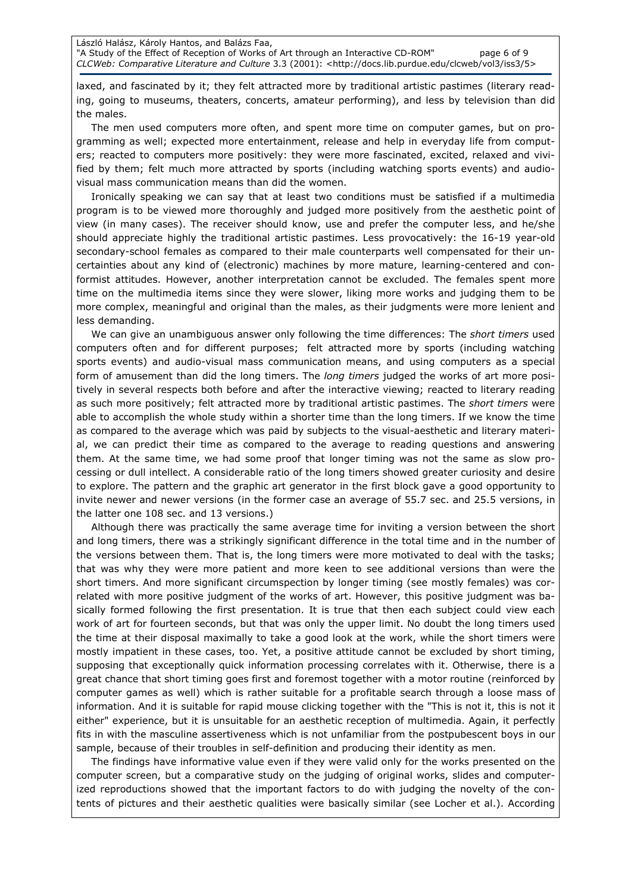laxed, and fascinated by it; they felt attracted more by traditional artistic pastimes (literary reading, going to museums, theaters, concerts, amateur performing), and less by television than did the males.

The men used computers more often, and spent more time on computer games, but on programming as well; expected more entertainment, release and help in everyday life from computers; reacted to computers more positively: they were more fascinated, excited, relaxed and vivified by them; felt much more attracted by sports (including watching sports events) and audiovisual mass communication means than did the women.

Ironically speaking we can say that at least two conditions must be satisfied if a multimedia program is to be viewed more thoroughly and judged more positively from the aesthetic point of view (in many cases). The receiver should know, use and prefer the computer less, and he/she should appreciate highly the traditional artistic pastimes. Less provocatively: the 16-19 year-old secondary-school females as compared to their male counterparts well compensated for their uncertainties about any kind of (electronic) machines by more mature, learning-centered and conformist attitudes. However, another interpretation cannot be excluded. The females spent more time on the multimedia items since they were slower, liking more works and judging them to be more complex, meaningful and original than the males, as their judgments were more lenient and less demanding.

We can give an unambiguous answer only following the time differences: The short timers used computers often and for different purposes; felt attracted more by sports (including watching sports events) and audio-visual mass communication means, and using computers as a special form of amusement than did the long timers. The long timers judged the works of art more positively in several respects both before and after the interactive viewing; reacted to literary reading as such more positively; felt attracted more by traditional artistic pastimes. The short timers were able to accomplish the whole study within a shorter time than the long timers. If we know the time as compared to the average which was paid by subjects to the visual-aesthetic and literary material, we can predict their time as compared to the average to reading questions and answering them. At the same time, we had some proof that longer timing was not the same as slow processing or dull intellect. A considerable ratio of the long timers showed greater curiosity and desire to explore. The pattern and the graphic art generator in the first block gave a good opportunity to invite newer and newer versions (in the former case an average of 55.7 sec. and 25.5 versions, in the latter one 108 sec. and 13 versions.)

Although there was practically the same average time for inviting a version between the short and long timers, there was a strikingly significant difference in the total time and in the number of the versions between them. That is, the long timers were more motivated to deal with the tasks; that was why they were more patient and more keen to see additional versions than were the short timers. And more significant circumspection by longer timing (see mostly females) was correlated with more positive judgment of the works of art. However, this positive judgment was basically formed following the first presentation. It is true that then each subject could view each work of art for fourteen seconds, but that was only the upper limit. No doubt the long timers used the time at their disposal maximally to take a good look at the work, while the short timers were mostly impatient in these cases, too. Yet, a positive attitude cannot be excluded by short timing, supposing that exceptionally quick information processing correlates with it. Otherwise, there is a great chance that short timing goes first and foremost together with a motor routine (reinforced by computer games as well) which is rather suitable for a profitable search through a loose mass of information. And it is suitable for rapid mouse clicking together with the "This is not it, this is not it either" experience, but it is unsuitable for an aesthetic reception of multimedia. Again, it perfectly fits in with the masculine assertiveness which is not unfamiliar from the postpubescent boys in our sample, because of their troubles in self-definition and producing their identity as men.

The findings have informative value even if they were valid only for the works presented on the computer screen, but a comparative study on the judging of original works, slides and computerized reproductions showed that the important factors to do with judging the novelty of the contents of pictures and their aesthetic qualities were basically similar (see Locher et al.). According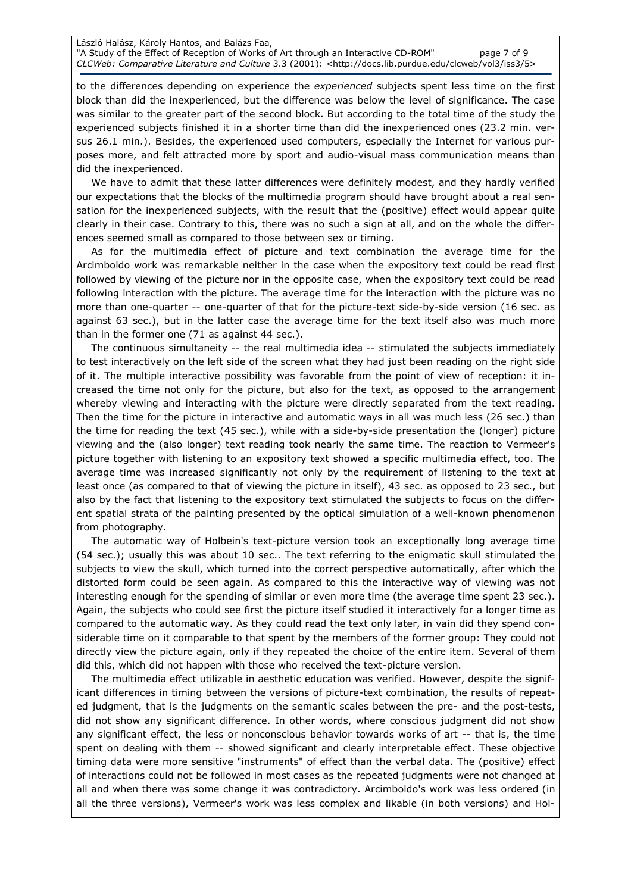László Halász, Károly Hantos, and Balázs Faa, "A Study of the Effect of Reception of Works of Art through an Interactive CD-ROM" page 7 of 9 CLCWeb: Comparative Literature and Culture 3.3 (2001): <http://docs.lib.purdue.edu/clcweb/vol3/iss3/5>

to the differences depending on experience the experienced subjects spent less time on the first block than did the inexperienced, but the difference was below the level of significance. The case was similar to the greater part of the second block. But according to the total time of the study the experienced subjects finished it in a shorter time than did the inexperienced ones (23.2 min. versus 26.1 min.). Besides, the experienced used computers, especially the Internet for various purposes more, and felt attracted more by sport and audio-visual mass communication means than did the inexperienced.

We have to admit that these latter differences were definitely modest, and they hardly verified our expectations that the blocks of the multimedia program should have brought about a real sensation for the inexperienced subjects, with the result that the (positive) effect would appear quite clearly in their case. Contrary to this, there was no such a sign at all, and on the whole the differences seemed small as compared to those between sex or timing.

As for the multimedia effect of picture and text combination the average time for the Arcimboldo work was remarkable neither in the case when the expository text could be read first followed by viewing of the picture nor in the opposite case, when the expository text could be read following interaction with the picture. The average time for the interaction with the picture was no more than one-quarter -- one-quarter of that for the picture-text side-by-side version (16 sec. as against 63 sec.), but in the latter case the average time for the text itself also was much more than in the former one (71 as against 44 sec.).

The continuous simultaneity -- the real multimedia idea -- stimulated the subjects immediately to test interactively on the left side of the screen what they had just been reading on the right side of it. The multiple interactive possibility was favorable from the point of view of reception: it increased the time not only for the picture, but also for the text, as opposed to the arrangement whereby viewing and interacting with the picture were directly separated from the text reading. Then the time for the picture in interactive and automatic ways in all was much less (26 sec.) than the time for reading the text (45 sec.), while with a side-by-side presentation the (longer) picture viewing and the (also longer) text reading took nearly the same time. The reaction to Vermeer's picture together with listening to an expository text showed a specific multimedia effect, too. The average time was increased significantly not only by the requirement of listening to the text at least once (as compared to that of viewing the picture in itself), 43 sec. as opposed to 23 sec., but also by the fact that listening to the expository text stimulated the subjects to focus on the different spatial strata of the painting presented by the optical simulation of a well-known phenomenon from photography.

The automatic way of Holbein's text-picture version took an exceptionally long average time (54 sec.); usually this was about 10 sec.. The text referring to the enigmatic skull stimulated the subjects to view the skull, which turned into the correct perspective automatically, after which the distorted form could be seen again. As compared to this the interactive way of viewing was not interesting enough for the spending of similar or even more time (the average time spent 23 sec.). Again, the subjects who could see first the picture itself studied it interactively for a longer time as compared to the automatic way. As they could read the text only later, in vain did they spend considerable time on it comparable to that spent by the members of the former group: They could not directly view the picture again, only if they repeated the choice of the entire item. Several of them did this, which did not happen with those who received the text-picture version.

The multimedia effect utilizable in aesthetic education was verified. However, despite the significant differences in timing between the versions of picture-text combination, the results of repeated judgment, that is the judgments on the semantic scales between the pre- and the post-tests, did not show any significant difference. In other words, where conscious judgment did not show any significant effect, the less or nonconscious behavior towards works of art -- that is, the time spent on dealing with them -- showed significant and clearly interpretable effect. These objective timing data were more sensitive "instruments" of effect than the verbal data. The (positive) effect of interactions could not be followed in most cases as the repeated judgments were not changed at all and when there was some change it was contradictory. Arcimboldo's work was less ordered (in all the three versions), Vermeer's work was less complex and likable (in both versions) and Hol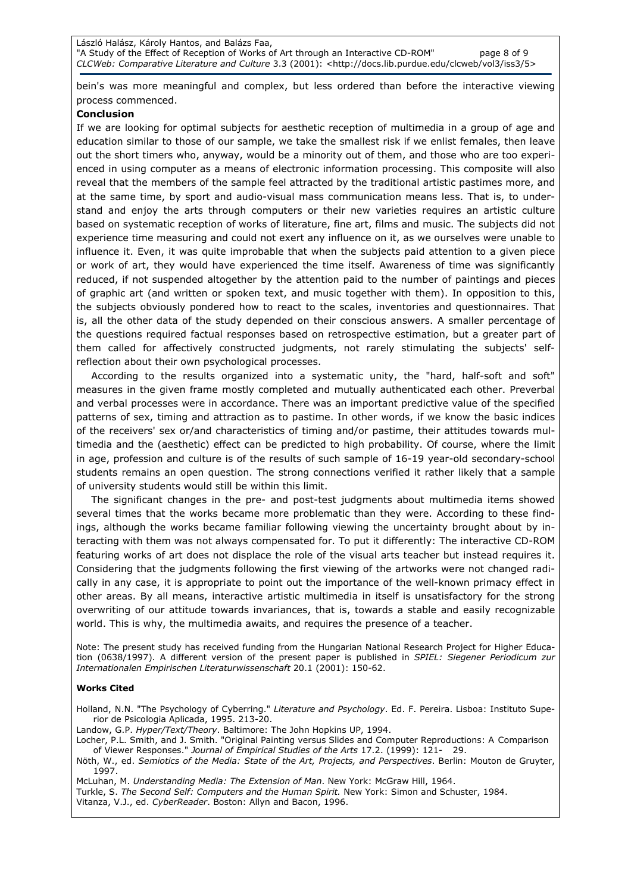bein's was more meaningful and complex, but less ordered than before the interactive viewing process commenced.

#### Conclusion

If we are looking for optimal subjects for aesthetic reception of multimedia in a group of age and education similar to those of our sample, we take the smallest risk if we enlist females, then leave out the short timers who, anyway, would be a minority out of them, and those who are too experienced in using computer as a means of electronic information processing. This composite will also reveal that the members of the sample feel attracted by the traditional artistic pastimes more, and at the same time, by sport and audio-visual mass communication means less. That is, to understand and enjoy the arts through computers or their new varieties requires an artistic culture based on systematic reception of works of literature, fine art, films and music. The subjects did not experience time measuring and could not exert any influence on it, as we ourselves were unable to influence it. Even, it was quite improbable that when the subjects paid attention to a given piece or work of art, they would have experienced the time itself. Awareness of time was significantly reduced, if not suspended altogether by the attention paid to the number of paintings and pieces of graphic art (and written or spoken text, and music together with them). In opposition to this, the subjects obviously pondered how to react to the scales, inventories and questionnaires. That is, all the other data of the study depended on their conscious answers. A smaller percentage of the questions required factual responses based on retrospective estimation, but a greater part of them called for affectively constructed judgments, not rarely stimulating the subjects' selfreflection about their own psychological processes.

According to the results organized into a systematic unity, the "hard, half-soft and soft" measures in the given frame mostly completed and mutually authenticated each other. Preverbal and verbal processes were in accordance. There was an important predictive value of the specified patterns of sex, timing and attraction as to pastime. In other words, if we know the basic indices of the receivers' sex or/and characteristics of timing and/or pastime, their attitudes towards multimedia and the (aesthetic) effect can be predicted to high probability. Of course, where the limit in age, profession and culture is of the results of such sample of 16-19 year-old secondary-school students remains an open question. The strong connections verified it rather likely that a sample of university students would still be within this limit.

The significant changes in the pre- and post-test judgments about multimedia items showed several times that the works became more problematic than they were. According to these findings, although the works became familiar following viewing the uncertainty brought about by interacting with them was not always compensated for. To put it differently: The interactive CD-ROM featuring works of art does not displace the role of the visual arts teacher but instead requires it. Considering that the judgments following the first viewing of the artworks were not changed radically in any case, it is appropriate to point out the importance of the well-known primacy effect in other areas. By all means, interactive artistic multimedia in itself is unsatisfactory for the strong overwriting of our attitude towards invariances, that is, towards a stable and easily recognizable world. This is why, the multimedia awaits, and requires the presence of a teacher.

Note: The present study has received funding from the Hungarian National Research Project for Higher Education (0638/1997). A different version of the present paper is published in SPIEL: Siegener Periodicum zur Internationalen Empirischen Literaturwissenschaft 20.1 (2001): 150-62.

#### Works Cited

Holland, N.N. "The Psychology of Cyberring." Literature and Psychology. Ed. F. Pereira. Lisboa: Instituto Superior de Psicologia Aplicada, 1995. 213-20.

Landow, G.P. Hyper/Text/Theory. Baltimore: The John Hopkins UP, 1994.

Locher, P.L. Smith, and J. Smith. "Original Painting versus Slides and Computer Reproductions: A Comparison of Viewer Responses." Journal of Empirical Studies of the Arts 17.2. (1999): 121- 29.

Nöth, W., ed. Semiotics of the Media: State of the Art, Projects, and Perspectives. Berlin: Mouton de Gruyter, 1997.

McLuhan, M. Understanding Media: The Extension of Man. New York: McGraw Hill, 1964.

Turkle, S. The Second Self: Computers and the Human Spirit. New York: Simon and Schuster, 1984.

Vitanza, V.J., ed. CyberReader. Boston: Allyn and Bacon, 1996.